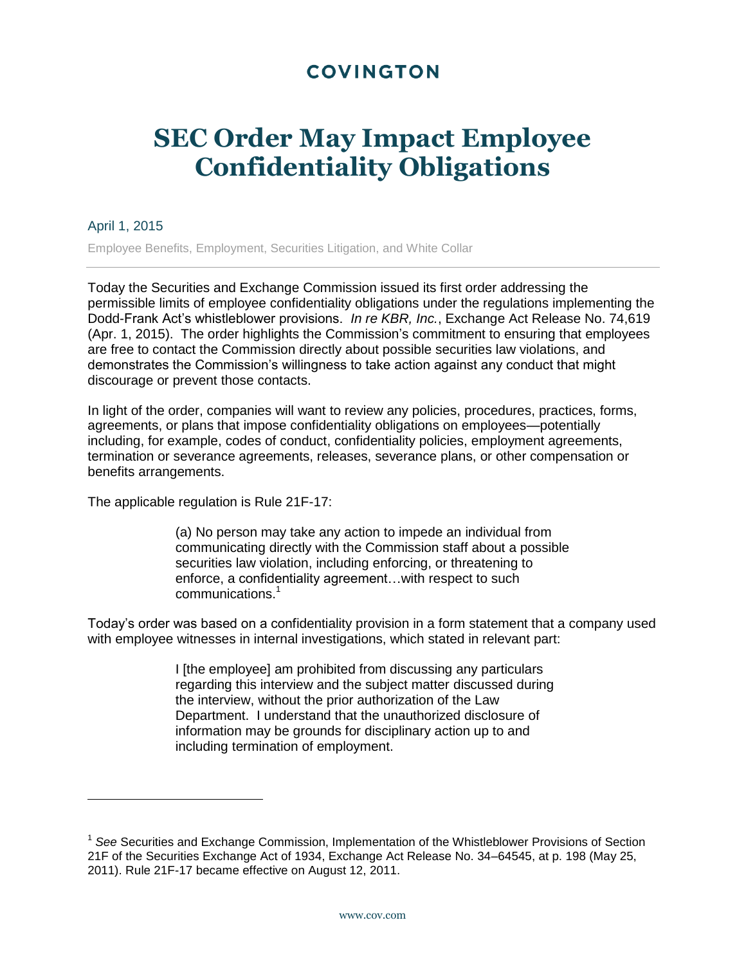## **COVINGTON**

## **SEC Order May Impact Employee Confidentiality Obligations**

## April 1, 2015

Employee Benefits, Employment, Securities Litigation, and White Collar

Today the Securities and Exchange Commission issued its first order addressing the permissible limits of employee confidentiality obligations under the regulations implementing the Dodd-Frank Act's whistleblower provisions. *In re KBR, Inc.*, Exchange Act Release No. 74,619 (Apr. 1, 2015). The order highlights the Commission's commitment to ensuring that employees are free to contact the Commission directly about possible securities law violations, and demonstrates the Commission's willingness to take action against any conduct that might discourage or prevent those contacts.

In light of the order, companies will want to review any policies, procedures, practices, forms, agreements, or plans that impose confidentiality obligations on employees—potentially including, for example, codes of conduct, confidentiality policies, employment agreements, termination or severance agreements, releases, severance plans, or other compensation or benefits arrangements.

The applicable regulation is Rule 21F-17:

(a) No person may take any action to impede an individual from communicating directly with the Commission staff about a possible securities law violation, including enforcing, or threatening to enforce, a confidentiality agreement…with respect to such communications.<sup>1</sup>

Today's order was based on a confidentiality provision in a form statement that a company used with employee witnesses in internal investigations, which stated in relevant part:

> I [the employee] am prohibited from discussing any particulars regarding this interview and the subject matter discussed during the interview, without the prior authorization of the Law Department. I understand that the unauthorized disclosure of information may be grounds for disciplinary action up to and including termination of employment.

<sup>&</sup>lt;sup>1</sup> See Securities and Exchange Commission, Implementation of the Whistleblower Provisions of Section 21F of the Securities Exchange Act of 1934, Exchange Act Release No. 34–64545, at p. 198 (May 25, 2011). Rule 21F-17 became effective on August 12, 2011.